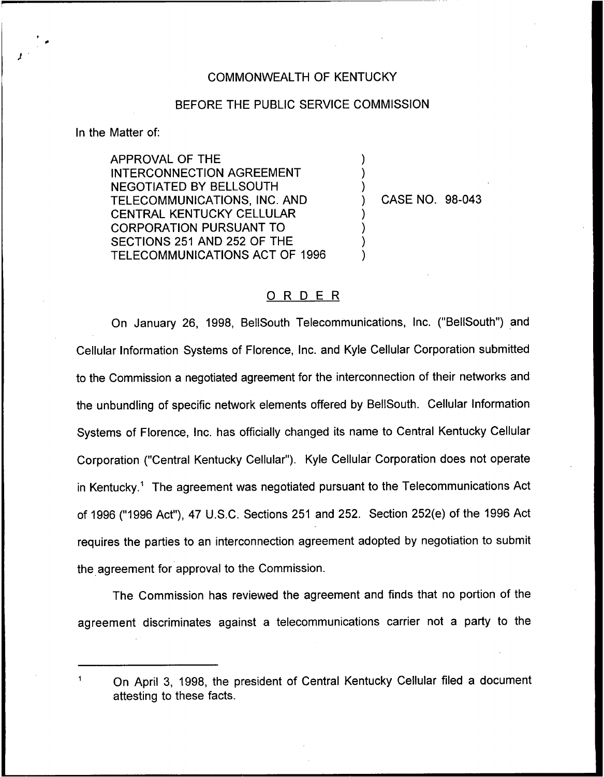## COMMONWEALTH OF KENTUCKY

## BEFORE THE PUBLIC SERVICE COMMISSION

) ) )

) ) ) )

In the Matter of:

APPROVAL OF THE INTERCONNECTION AGREEMENT NEGOTIATED BY BELLSOUTH TELECOMMUNICATIONS, INC. AND CENTRAL KENTUCKY CELLULAR CORPORATION PURSUANT TO SECTIONS 251 AND 252 OF THE TELECOMMUNICATIONS ACT OF 1996

) CASE NO. 98-043

## ORDER

On January 26, 1998, BellSouth Telecommunications, Inc. ("BellSouth") and Cellular Information Systems of Florence, Inc. and Kyle Cellular Corporation submitted to the Commission a negotiated agreement for the interconnection of their networks and the unbundling of specific network elements offered by BellSouth. Cellular Information Systems of Florence, Inc. has officially changed its name to Central Kentucky Cellular Corporation ("Central Kentucky Cellular"). Kyle Cellular Corporation does not operate in Kentucky.<sup>1</sup> The agreement was negotiated pursuant to the Telecommunications Act of 1996 ("1996Act"), 47 U.S.C. Sections 251 and 252. Section 252(e) of the 1996 Act requires the parties to an interconnection agreement adopted by negotiation to submit the agreement for approval to the Commission.

The Commission has reviewed the agreement and finds that no portion of the agreement discriminates against a telecommunications carrier not a party to the

On April 3, 1998, the president of Central Kentucky Cellular filed a document attesting to these facts.